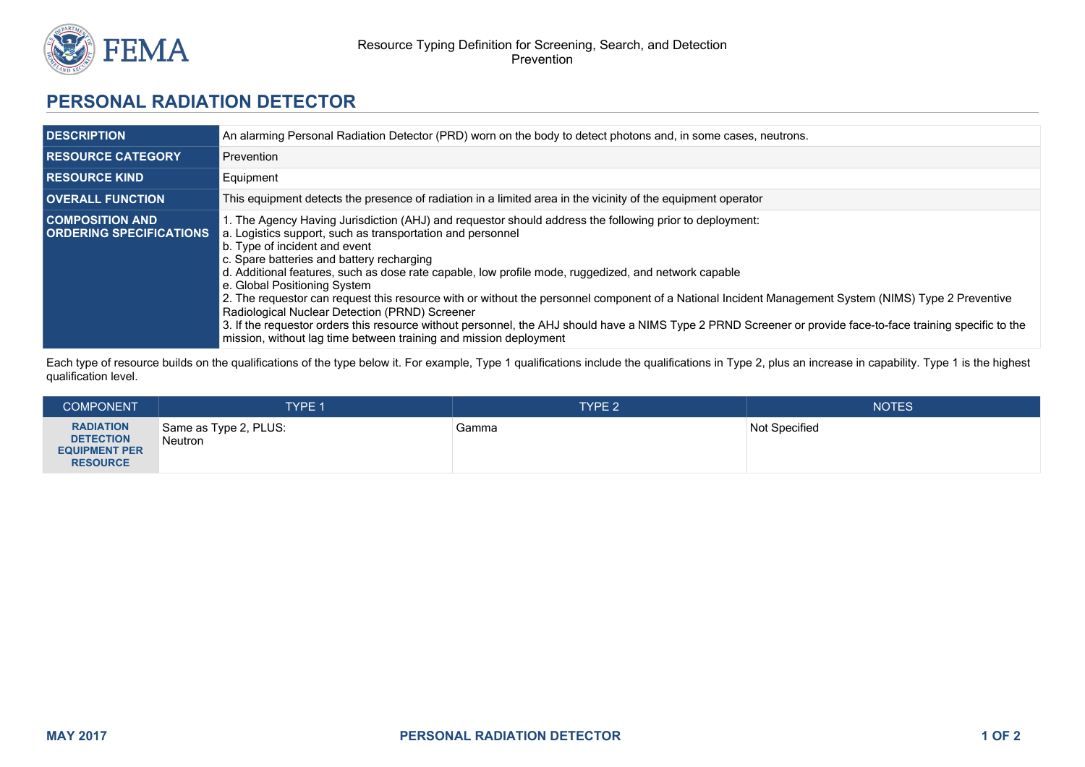

## **PERSONAL RADIATION DETECTOR**

| <b>DESCRIPTION</b>                                       | An alarming Personal Radiation Detector (PRD) worn on the body to detect photons and, in some cases, neutrons.                                                                                                                                                                                                                                                                                                                                                                                                                                                                                                                                                                                                                                                                                                                             |  |  |
|----------------------------------------------------------|--------------------------------------------------------------------------------------------------------------------------------------------------------------------------------------------------------------------------------------------------------------------------------------------------------------------------------------------------------------------------------------------------------------------------------------------------------------------------------------------------------------------------------------------------------------------------------------------------------------------------------------------------------------------------------------------------------------------------------------------------------------------------------------------------------------------------------------------|--|--|
| <b>I RESOURCE CATEGORY</b>                               | Prevention                                                                                                                                                                                                                                                                                                                                                                                                                                                                                                                                                                                                                                                                                                                                                                                                                                 |  |  |
| <b>I RESOURCE KIND</b>                                   | Equipment                                                                                                                                                                                                                                                                                                                                                                                                                                                                                                                                                                                                                                                                                                                                                                                                                                  |  |  |
| <b>OVERALL FUNCTION</b>                                  | This equipment detects the presence of radiation in a limited area in the vicinity of the equipment operator                                                                                                                                                                                                                                                                                                                                                                                                                                                                                                                                                                                                                                                                                                                               |  |  |
| <b>COMPOSITION AND</b><br><b>ORDERING SPECIFICATIONS</b> | 1. The Agency Having Jurisdiction (AHJ) and requestor should address the following prior to deployment:<br>a. Logistics support, such as transportation and personnel<br>b. Type of incident and event<br>c. Spare batteries and battery recharging<br>d. Additional features, such as dose rate capable, low profile mode, ruggedized, and network capable<br>e. Global Positioning System<br>2. The requestor can request this resource with or without the personnel component of a National Incident Management System (NIMS) Type 2 Preventive<br>Radiological Nuclear Detection (PRND) Screener<br>3. If the requestor orders this resource without personnel, the AHJ should have a NIMS Type 2 PRND Screener or provide face-to-face training specific to the<br>mission, without lag time between training and mission deployment |  |  |

Each type of resource builds on the qualifications of the type below it. For example, Type 1 qualifications include the qualifications in Type 2, plus an increase in capability. Type 1 is the highest qualification level.

| <b>COMPONENT</b>                                                                | <b>TYPE 1</b>                           | TYPE <sub>2</sub> | <b>NOTES</b>  |
|---------------------------------------------------------------------------------|-----------------------------------------|-------------------|---------------|
| <b>RADIATION</b><br><b>DETECTION</b><br><b>EQUIPMENT PER</b><br><b>RESOURCE</b> | Same as Type 2, PLUS:<br><b>Neutron</b> | Gamma             | Not Specified |